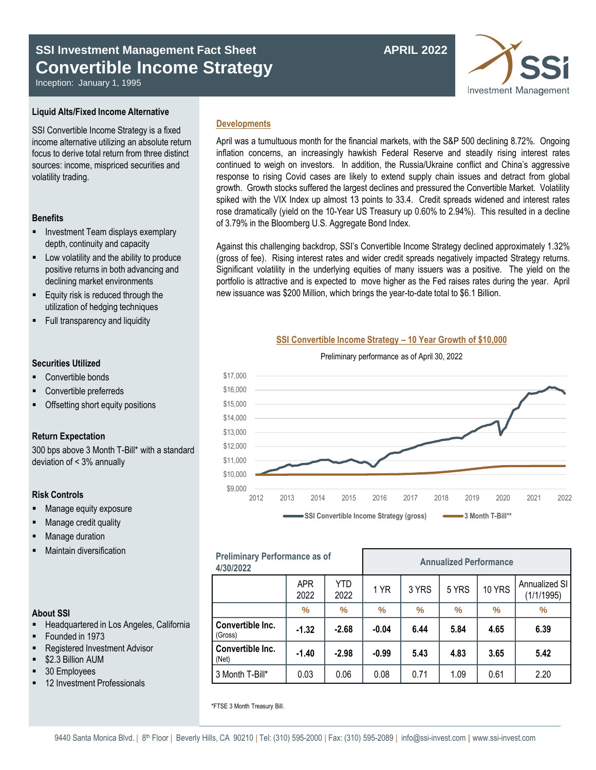# **SSI Investment Management Fact Sheet APRIL 2022 Convertible Income Strategy**

Inception: January 1, 1995

## **Liquid Alts/Fixed Income Alternative**

SSI Convertible Income Strategy is a fixed income alternative utilizing an absolute return focus to derive total return from three distinct sources: income, mispriced securities and volatility trading.

### **Benefits**

- Investment Team displays exemplary depth, continuity and capacity
- **EXECUTE:** Low volatility and the ability to produce positive returns in both advancing and declining market environments
- Equity risk is reduced through the utilization of hedging techniques
- Full transparency and liquidity

## **Securities Utilized**

- Convertible bonds
- Convertible preferreds
- Offsetting short equity positions

### **Return Expectation**

300 bps above 3 Month T-Bill\* with a standard deviation of < 3% annually

## **Risk Controls**

- Manage equity exposure
- Manage credit quality
- Manage duration
- Maintain diversification

| <b>Preliminary Performance as of</b><br>4/30/2022 |                    |             | <b>Annualized Performance</b> |       |       |               |                             |
|---------------------------------------------------|--------------------|-------------|-------------------------------|-------|-------|---------------|-----------------------------|
|                                                   | <b>APR</b><br>2022 | YTD<br>2022 | 1 YR                          | 3 YRS | 5 YRS | <b>10 YRS</b> | Annualized SI<br>(1/1/1995) |
|                                                   | $\%$               | ℅           | $\%$                          | $\%$  | $\%$  | $\%$          | $\%$                        |
| Convertible Inc.<br>(Gross)                       | $-1.32$            | $-2.68$     | $-0.04$                       | 6.44  | 5.84  | 4.65          | 6.39                        |
| Convertible Inc.<br>(Net)                         | $-1.40$            | $-2.98$     | $-0.99$                       | 5.43  | 4.83  | 3.65          | 5.42                        |

3 Month T-Bill\* 0.03 0.06 0.08 0.71 1.09 0.61 2.20

## **About SSI**

- **-** Headquartered in Los Angeles, California
- Founded in 1973
- Registered Investment Advisor
- \$2.3 Billion AUM
- 30 Employees
- 12 Investment Professionals

## **Developments**

April was a tumultuous month for the financial markets, with the S&P 500 declining 8.72%. Ongoing inflation concerns, an increasingly hawkish Federal Reserve and steadily rising interest rates continued to weigh on investors. In addition, the Russia/Ukraine conflict and China's aggressive response to rising Covid cases are likely to extend supply chain issues and detract from global growth. Growth stocks suffered the largest declines and pressured the Convertible Market. Volatility spiked with the VIX Index up almost 13 points to 33.4. Credit spreads widened and interest rates rose dramatically (yield on the 10-Year US Treasury up 0.60% to 2.94%). This resulted in a decline of 3.79% in the Bloomberg U.S. Aggregate Bond Index.

Against this challenging backdrop, SSI's Convertible Income Strategy declined approximately 1.32% (gross of fee). Rising interest rates and wider credit spreads negatively impacted Strategy returns. Significant volatility in the underlying equities of many issuers was a positive. The yield on the portfolio is attractive and is expected to move higher as the Fed raises rates during the year. April new issuance was \$200 Million, which brings the year-to-date total to \$6.1 Billion.

## **SSI Convertible Income Strategy – 10 Year Growth of \$10,000** Preliminary performance as of April 30, 2022



## 9440 Santa Monica Blvd. | 8<sup>th</sup> Floor | Beverly Hills, CA 90210 | Tel: (310) 595-2000 | Fax: (310) 595-2089 | info@ssi-invest.com | www.ssi-invest.com

\*FTSE 3 Month Treasury Bill.